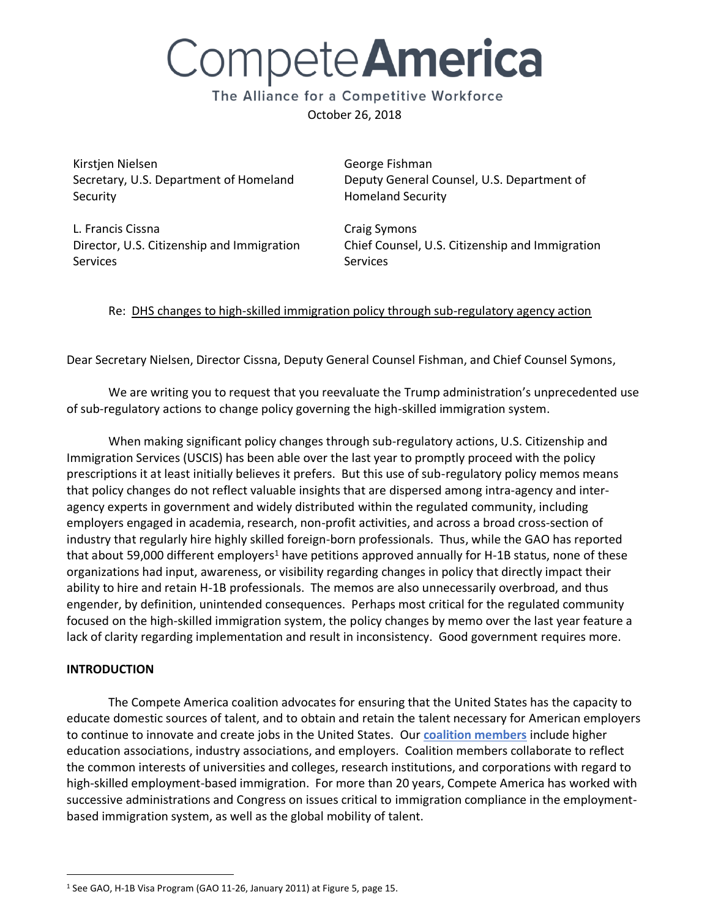# Compete **America**

The Alliance for a Competitive Workforce October 26, 2018

Kirstjen Nielsen Secretary, U.S. Department of Homeland Security

George Fishman Deputy General Counsel, U.S. Department of Homeland Security

L. Francis Cissna Director, U.S. Citizenship and Immigration **Services** 

Craig Symons Chief Counsel, U.S. Citizenship and Immigration **Services** 

# Re: DHS changes to high-skilled immigration policy through sub-regulatory agency action

Dear Secretary Nielsen, Director Cissna, Deputy General Counsel Fishman, and Chief Counsel Symons,

We are writing you to request that you reevaluate the Trump administration's unprecedented use of sub-regulatory actions to change policy governing the high-skilled immigration system.

When making significant policy changes through sub-regulatory actions, U.S. Citizenship and Immigration Services (USCIS) has been able over the last year to promptly proceed with the policy prescriptions it at least initially believes it prefers. But this use of sub-regulatory policy memos means that policy changes do not reflect valuable insights that are dispersed among intra-agency and interagency experts in government and widely distributed within the regulated community, including employers engaged in academia, research, non-profit activities, and across a broad cross-section of industry that regularly hire highly skilled foreign-born professionals. Thus, while the GAO has reported that about 59,000 different employers<sup>1</sup> have petitions approved annually for H-1B status, none of these organizations had input, awareness, or visibility regarding changes in policy that directly impact their ability to hire and retain H-1B professionals. The memos are also unnecessarily overbroad, and thus engender, by definition, unintended consequences. Perhaps most critical for the regulated community focused on the high-skilled immigration system, the policy changes by memo over the last year feature a lack of clarity regarding implementation and result in inconsistency. Good government requires more.

### **INTRODUCTION**

 $\overline{a}$ 

The Compete America coalition advocates for ensuring that the United States has the capacity to educate domestic sources of talent, and to obtain and retain the talent necessary for American employers to continue to innovate and create jobs in the United States. Our **[coalition members](https://competeamerica.org/about/members/)** include higher education associations, industry associations, and employers. Coalition members collaborate to reflect the common interests of universities and colleges, research institutions, and corporations with regard to high-skilled employment-based immigration. For more than 20 years, Compete America has worked with successive administrations and Congress on issues critical to immigration compliance in the employmentbased immigration system, as well as the global mobility of talent.

<sup>1</sup> See GAO, H-1B Visa Program (GAO 11-26, January 2011) at Figure 5, page 15.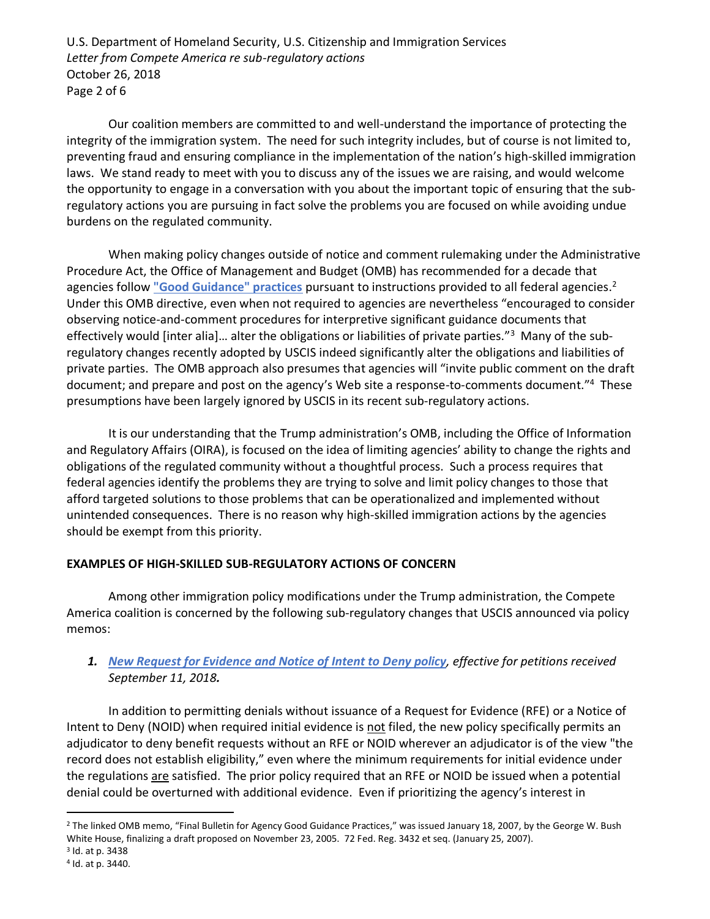U.S. Department of Homeland Security, U.S. Citizenship and Immigration Services *Letter from Compete America re sub-regulatory actions* October 26, 2018 Page 2 of 6

Our coalition members are committed to and well-understand the importance of protecting the integrity of the immigration system. The need for such integrity includes, but of course is not limited to, preventing fraud and ensuring compliance in the implementation of the nation's high-skilled immigration laws. We stand ready to meet with you to discuss any of the issues we are raising, and would welcome the opportunity to engage in a conversation with you about the important topic of ensuring that the subregulatory actions you are pursuing in fact solve the problems you are focused on while avoiding undue burdens on the regulated community.

When making policy changes outside of notice and comment rulemaking under the Administrative Procedure Act, the Office of Management and Budget (OMB) has recommended for a decade that agencies follow **["Good Guidance" practices](https://www.gpo.gov/fdsys/pkg/FR-2007-01-25/pdf/E7-1066.pdf)** pursuant to instructions provided to all federal agencies. 2 Under this OMB directive, even when not required to agencies are nevertheless "encouraged to consider observing notice-and-comment procedures for interpretive significant guidance documents that effectively would [inter alia]... alter the obligations or liabilities of private parties."<sup>3</sup> Many of the subregulatory changes recently adopted by USCIS indeed significantly alter the obligations and liabilities of private parties. The OMB approach also presumes that agencies will "invite public comment on the draft document; and prepare and post on the agency's Web site a response-to-comments document."<sup>4</sup> These presumptions have been largely ignored by USCIS in its recent sub-regulatory actions.

It is our understanding that the Trump administration's OMB, including the Office of Information and Regulatory Affairs (OIRA), is focused on the idea of limiting agencies' ability to change the rights and obligations of the regulated community without a thoughtful process. Such a process requires that federal agencies identify the problems they are trying to solve and limit policy changes to those that afford targeted solutions to those problems that can be operationalized and implemented without unintended consequences. There is no reason why high-skilled immigration actions by the agencies should be exempt from this priority.

### **EXAMPLES OF HIGH-SKILLED SUB-REGULATORY ACTIONS OF CONCERN**

Among other immigration policy modifications under the Trump administration, the Compete America coalition is concerned by the following sub-regulatory changes that USCIS announced via policy memos:

# *1. [New Request for Evidence and Notice of Intent to Deny policy](https://www.uscis.gov/sites/default/files/USCIS/Laws/Memoranda/AFM_10_Standards_for_RFEs_and_NOIDs_FINAL2.pdf), effective for petitions received September 11, 2018.*

In addition to permitting denials without issuance of a Request for Evidence (RFE) or a Notice of Intent to Deny (NOID) when required initial evidence is not filed, the new policy specifically permits an adjudicator to deny benefit requests without an RFE or NOID wherever an adjudicator is of the view "the record does not establish eligibility," even where the minimum requirements for initial evidence under the regulations are satisfied. The prior policy required that an RFE or NOID be issued when a potential denial could be overturned with additional evidence. Even if prioritizing the agency's interest in

 $\overline{a}$ 

<sup>2</sup> The linked OMB memo, "Final Bulletin for Agency Good Guidance Practices," was issued January 18, 2007, by the George W. Bush White House, finalizing a draft proposed on November 23, 2005. 72 Fed. Reg. 3432 et seq. (January 25, 2007).

<sup>&</sup>lt;sup>3</sup> Id. at p. 3438

<sup>4</sup> Id. at p. 3440.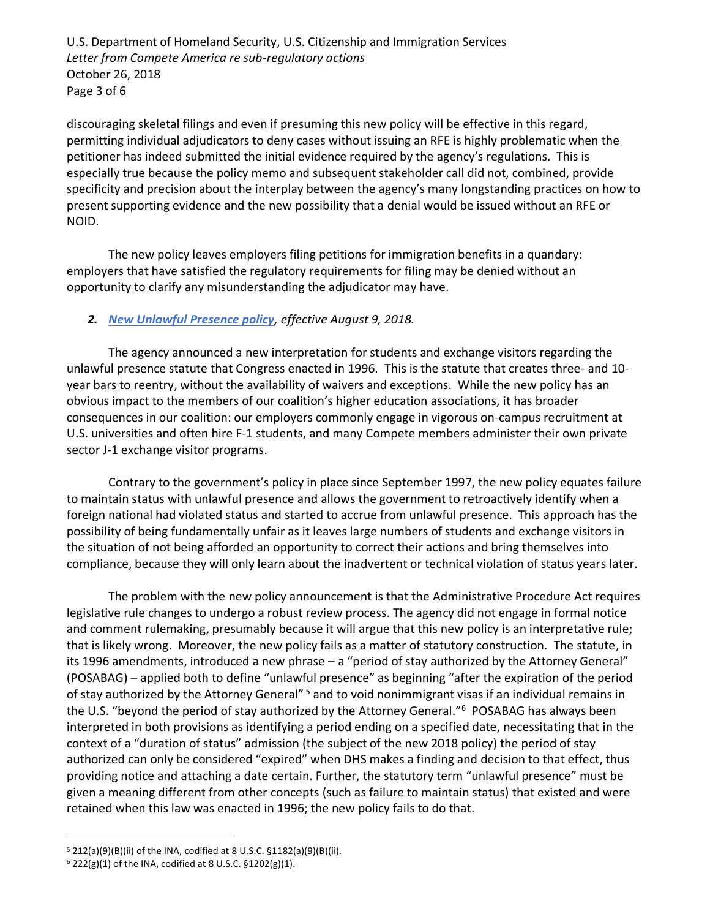U.S. Department of Homeland Security, U.S. Citizenship and Immigration Services *Letter from Compete America re sub-regulatory actions* October 26, 2018 Page 3 of 6

discouraging skeletal filings and even if presuming this new policy will be effective in this regard, permitting individual adjudicators to deny cases without issuing an RFE is highly problematic when the petitioner has indeed submitted the initial evidence required by the agency's regulations. This is especially true because the policy memo and subsequent stakeholder call did not, combined, provide specificity and precision about the interplay between the agency's many longstanding practices on how to present supporting evidence and the new possibility that a denial would be issued without an RFE or NOID.

The new policy leaves employers filing petitions for immigration benefits in a quandary: employers that have satisfied the regulatory requirements for filing may be denied without an opportunity to clarify any misunderstanding the adjudicator may have.

# *2. [New Unlawful Presence policy](https://www.uscis.gov/sites/default/files/USCIS/Laws/Memoranda/2018/2018-08-09-PM-602-1060.1-Accrual-of-Unlawful-Presence-and-F-J-and-M-Nonimmigrants.pdf), effective August 9, 2018.*

The agency announced a new interpretation for students and exchange visitors regarding the unlawful presence statute that Congress enacted in 1996. This is the statute that creates three- and 10 year bars to reentry, without the availability of waivers and exceptions. While the new policy has an obvious impact to the members of our coalition's higher education associations, it has broader consequences in our coalition: our employers commonly engage in vigorous on-campus recruitment at U.S. universities and often hire F-1 students, and many Compete members administer their own private sector J-1 exchange visitor programs.

Contrary to the government's policy in place since September 1997, the new policy equates failure to maintain status with unlawful presence and allows the government to retroactively identify when a foreign national had violated status and started to accrue from unlawful presence. This approach has the possibility of being fundamentally unfair as it leaves large numbers of students and exchange visitors in the situation of not being afforded an opportunity to correct their actions and bring themselves into compliance, because they will only learn about the inadvertent or technical violation of status years later.

The problem with the new policy announcement is that the Administrative Procedure Act requires legislative rule changes to undergo a robust review process. The agency did not engage in formal notice and comment rulemaking, presumably because it will argue that this new policy is an interpretative rule; that is likely wrong. Moreover, the new policy fails as a matter of statutory construction. The statute, in its 1996 amendments, introduced a new phrase – a "period of stay authorized by the Attorney General" (POSABAG) – applied both to define "unlawful presence" as beginning "after the expiration of the period of stay authorized by the Attorney General"<sup>5</sup> and to void nonimmigrant visas if an individual remains in the U.S. "beyond the period of stay authorized by the Attorney General."<sup>6</sup> POSABAG has always been interpreted in both provisions as identifying a period ending on a specified date, necessitating that in the context of a "duration of status" admission (the subject of the new 2018 policy) the period of stay authorized can only be considered "expired" when DHS makes a finding and decision to that effect, thus providing notice and attaching a date certain. Further, the statutory term "unlawful presence" must be given a meaning different from other concepts (such as failure to maintain status) that existed and were retained when this law was enacted in 1996; the new policy fails to do that.

 $\overline{a}$ 

<sup>5</sup> 212(a)(9)(B)(ii) of the INA, codified at 8 U.S.C. §1182(a)(9)(B)(ii).

<sup>6</sup> 222(g)(1) of the INA, codified at 8 U.S.C. §1202(g)(1).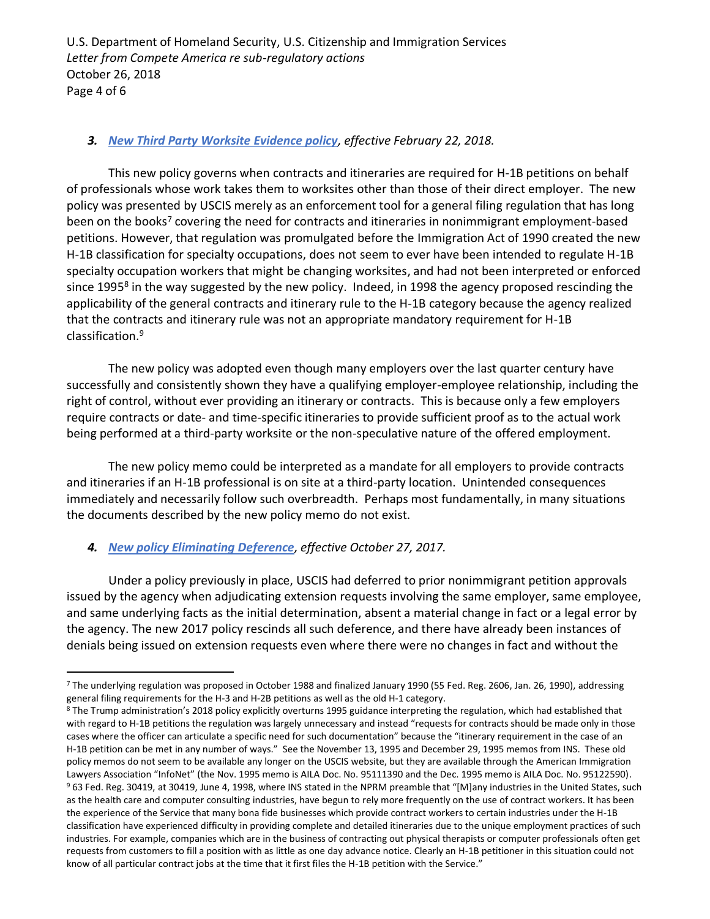U.S. Department of Homeland Security, U.S. Citizenship and Immigration Services *Letter from Compete America re sub-regulatory actions* October 26, 2018 Page 4 of 6

### *3. [New Third Party Worksite Evidence policy](https://www.uscis.gov/sites/default/files/USCIS/Laws/Memoranda/2018/2018-02-22-PM-602-0157-Contracts-and-Itineraries-Requirements-for-H-1B.pdf), effective February 22, 2018.*

This new policy governs when contracts and itineraries are required for H-1B petitions on behalf of professionals whose work takes them to worksites other than those of their direct employer. The new policy was presented by USCIS merely as an enforcement tool for a general filing regulation that has long been on the books<sup>7</sup> covering the need for contracts and itineraries in nonimmigrant employment-based petitions. However, that regulation was promulgated before the Immigration Act of 1990 created the new H-1B classification for specialty occupations, does not seem to ever have been intended to regulate H-1B specialty occupation workers that might be changing worksites, and had not been interpreted or enforced since 1995<sup>8</sup> in the way suggested by the new policy. Indeed, in 1998 the agency proposed rescinding the applicability of the general contracts and itinerary rule to the H-1B category because the agency realized that the contracts and itinerary rule was not an appropriate mandatory requirement for H-1B classification.<sup>9</sup>

The new policy was adopted even though many employers over the last quarter century have successfully and consistently shown they have a qualifying employer-employee relationship, including the right of control, without ever providing an itinerary or contracts. This is because only a few employers require contracts or date- and time-specific itineraries to provide sufficient proof as to the actual work being performed at a third-party worksite or the non-speculative nature of the offered employment.

The new policy memo could be interpreted as a mandate for all employers to provide contracts and itineraries if an H-1B professional is on site at a third-party location. Unintended consequences immediately and necessarily follow such overbreadth. Perhaps most fundamentally, in many situations the documents described by the new policy memo do not exist.

#### *4. [New policy Eliminating Deference](https://www.uscis.gov/sites/default/files/USCIS/Laws/Memoranda/2017/2017-10-23Rescission-of-Deference-PM6020151.pdf), effective October 27, 2017.*

 $\overline{a}$ 

Under a policy previously in place, USCIS had deferred to prior nonimmigrant petition approvals issued by the agency when adjudicating extension requests involving the same employer, same employee, and same underlying facts as the initial determination, absent a material change in fact or a legal error by the agency. The new 2017 policy rescinds all such deference, and there have already been instances of denials being issued on extension requests even where there were no changes in fact and without the

<sup>7</sup> The underlying regulation was proposed in October 1988 and finalized January 1990 (55 Fed. Reg. 2606, Jan. 26, 1990), addressing general filing requirements for the H-3 and H-2B petitions as well as the old H-1 category.

<sup>&</sup>lt;sup>8</sup> The Trump administration's 2018 policy explicitly overturns 1995 guidance interpreting the regulation, which had established that with regard to H-1B petitions the regulation was largely unnecessary and instead "requests for contracts should be made only in those cases where the officer can articulate a specific need for such documentation" because the "itinerary requirement in the case of an H-1B petition can be met in any number of ways." See the November 13, 1995 and December 29, 1995 memos from INS. These old policy memos do not seem to be available any longer on the USCIS website, but they are available through the American Immigration Lawyers Association "InfoNet" (the Nov. 1995 memo is AILA Doc. No. 95111390 and the Dec. 1995 memo is AILA Doc. No. 95122590). <sup>9</sup> 63 Fed. Reg. 30419, at 30419, June 4, 1998, where INS stated in the NPRM preamble that "[M]any industries in the United States, such as the health care and computer consulting industries, have begun to rely more frequently on the use of contract workers. It has been the experience of the Service that many bona fide businesses which provide contract workers to certain industries under the H-1B classification have experienced difficulty in providing complete and detailed itineraries due to the unique employment practices of such industries. For example, companies which are in the business of contracting out physical therapists or computer professionals often get requests from customers to fill a position with as little as one day advance notice. Clearly an H-1B petitioner in this situation could not know of all particular contract jobs at the time that it first files the H-1B petition with the Service."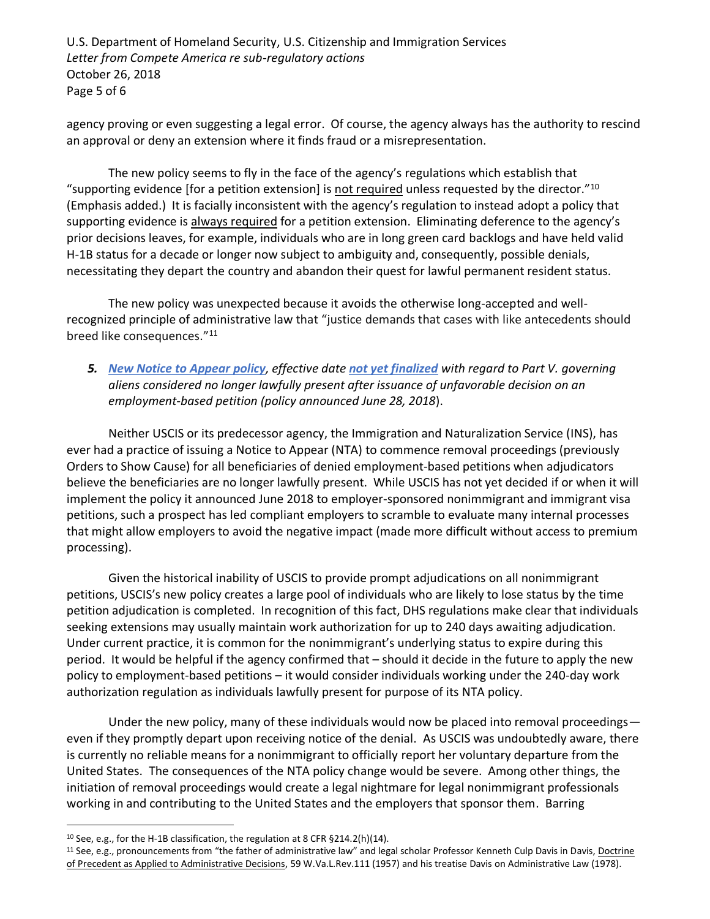U.S. Department of Homeland Security, U.S. Citizenship and Immigration Services *Letter from Compete America re sub-regulatory actions* October 26, 2018 Page 5 of 6

agency proving or even suggesting a legal error. Of course, the agency always has the authority to rescind an approval or deny an extension where it finds fraud or a misrepresentation.

The new policy seems to fly in the face of the agency's regulations which establish that "supporting evidence [for a petition extension] is not required unless requested by the director." $10$ (Emphasis added.) It is facially inconsistent with the agency's regulation to instead adopt a policy that supporting evidence is always required for a petition extension. Eliminating deference to the agency's prior decisions leaves, for example, individuals who are in long green card backlogs and have held valid H-1B status for a decade or longer now subject to ambiguity and, consequently, possible denials, necessitating they depart the country and abandon their quest for lawful permanent resident status.

The new policy was unexpected because it avoids the otherwise long-accepted and wellrecognized principle of administrative law that "justice demands that cases with like antecedents should breed like consequences."<sup>11</sup>

# *5. [New Notice to Appear policy](https://www.uscis.gov/sites/default/files/USCIS/Laws/Memoranda/2018/2018-06-28-PM-602-0050.1-Guidance-for-Referral-of-Cases-and-Issuance-of-NTA.pdf), effective date [not yet finalized](https://www.uscis.gov/legal-resources/notice-appear-policy-memorandum) with regard to Part V. governing aliens considered no longer lawfully present after issuance of unfavorable decision on an employment-based petition (policy announced June 28, 2018*).

Neither USCIS or its predecessor agency, the Immigration and Naturalization Service (INS), has ever had a practice of issuing a Notice to Appear (NTA) to commence removal proceedings (previously Orders to Show Cause) for all beneficiaries of denied employment-based petitions when adjudicators believe the beneficiaries are no longer lawfully present. While USCIS has not yet decided if or when it will implement the policy it announced June 2018 to employer-sponsored nonimmigrant and immigrant visa petitions, such a prospect has led compliant employers to scramble to evaluate many internal processes that might allow employers to avoid the negative impact (made more difficult without access to premium processing).

Given the historical inability of USCIS to provide prompt adjudications on all nonimmigrant petitions, USCIS's new policy creates a large pool of individuals who are likely to lose status by the time petition adjudication is completed. In recognition of this fact, DHS regulations make clear that individuals seeking extensions may usually maintain work authorization for up to 240 days awaiting adjudication. Under current practice, it is common for the nonimmigrant's underlying status to expire during this period. It would be helpful if the agency confirmed that – should it decide in the future to apply the new policy to employment-based petitions – it would consider individuals working under the 240-day work authorization regulation as individuals lawfully present for purpose of its NTA policy.

Under the new policy, many of these individuals would now be placed into removal proceedings even if they promptly depart upon receiving notice of the denial. As USCIS was undoubtedly aware, there is currently no reliable means for a nonimmigrant to officially report her voluntary departure from the United States. The consequences of the NTA policy change would be severe. Among other things, the initiation of removal proceedings would create a legal nightmare for legal nonimmigrant professionals working in and contributing to the United States and the employers that sponsor them. Barring

 $\overline{a}$ 

<sup>10</sup> See, e.g., for the H-1B classification, the regulation at 8 CFR §214.2(h)(14).

 $11$  See, e.g., pronouncements from "the father of administrative law" and legal scholar Professor Kenneth Culp Davis in Davis, Doctrine of Precedent as Applied to Administrative Decisions, 59 W.Va.L.Rev.111 (1957) and his treatise Davis on Administrative Law (1978).